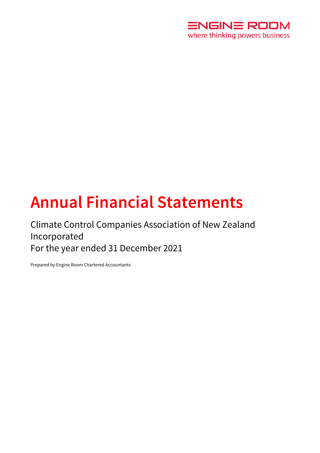

# **Annual Financial Statements**

# Climate Control Companies Association of New Zealand Incorporated For the year ended 31 December 2021

Prepared by Engine Room Chartered Accountants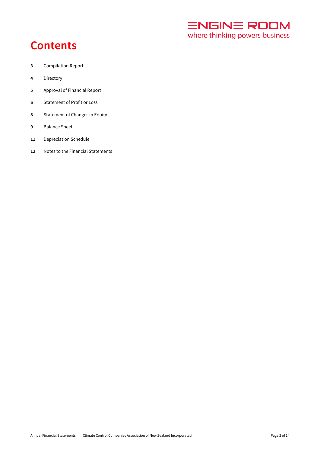

# **Contents**

- Compilation Report
- Directory
- Approval of Financial Report
- Statement of Profit or Loss
- Statement of Changes in Equity
- Balance Sheet
- Depreciation Schedule
- Notes to the Financial Statements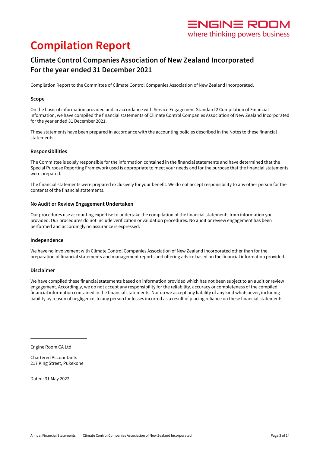# ENGIN<del>E</del> ROOM where thinking powers business

# **Compilation Report**

# **Climate Control Companies Association of New Zealand Incorporated For the year ended 31 December 2021**

Compilation Report to the Committee of Climate Control Companies Association of New Zealand Incorporated.

## **Scope**

On the basis of information provided and in accordance with Service Engagement Standard 2 Compilation of Financial Information, we have compiled the financial statements of Climate Control Companies Association of New Zealand Incorporated for the year ended 31 December 2021.

These statements have been prepared in accordance with the accounting policies described in the Notes to these financial statements.

### **Responsibilities**

The Committee is solely responsible for the information contained in the financial statements and have determined that the Special Purpose Reporting Framework used is appropriate to meet your needs and for the purpose that the financial statements were prepared.

The financial statements were prepared exclusively for your benefit. We do not accept responsibility to any other person for the contents of the financial statements.

### **No Audit or Review Engagement Undertaken**

Our procedures use accounting expertise to undertake the compilation of the financial statements from information you provided. Our procedures do not include verification or validation procedures. No audit or review engagement has been performed and accordingly no assurance is expressed.

## **Independence**

We have no involvement with Climate Control Companies Association of New Zealand Incorporated other than for the preparation of financial statements and management reports and offering advice based on the financial information provided.

## **Disclaimer**

We have compiled these financial statements based on information provided which has not been subject to an audit or review engagement. Accordingly, we do not accept any responsibility for the reliability, accuracy or completeness of the compiled financial information contained in the financial statements. Nor do we accept any liability of any kind whatsoever, including liability by reason of negligence, to any person for losses incurred as a result of placing reliance on these financial statements.

Engine Room CA Ltd

Chartered Accountants 217 King Street, Pukekohe

Dated: 31 May 2022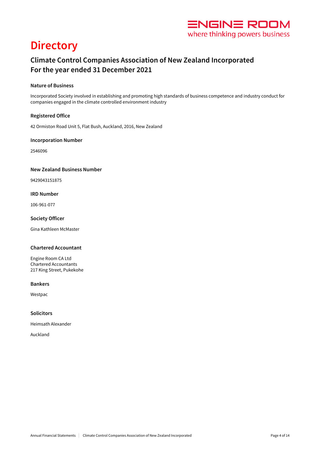

# **Directory**

# **Climate Control Companies Association of New Zealand Incorporated For the year ended 31 December 2021**

## **Nature of Business**

Incorporated Society involved in establishing and promoting high standards of business competence and industry conduct for companies engaged in the climate controlled environment industry

## **Registered Office**

42 Ormiston Road Unit 5, Flat Bush, Auckland, 2016, New Zealand

## **Incorporation Number**

2546096

### **New Zealand Business Number**

9429043151875

## **IRD Number**

106-961-077

### **Society Officer**

Gina Kathleen McMaster

## **Chartered Accountant**

Engine Room CA Ltd Chartered Accountants 217 King Street, Pukekohe

### **Bankers**

Westpac

## **Solicitors**

Heimsath Alexander

Auckland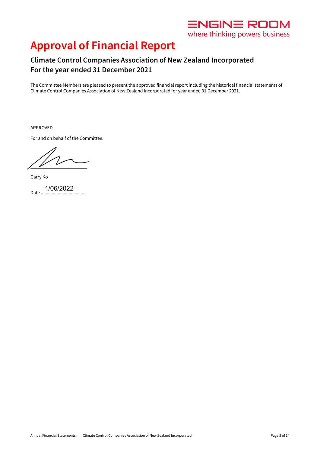

# **Approval of Financial Report**

# **Climate Control Companies Association of New Zealand Incorporated For the year ended 31 December 2021**

The Committee Members are pleased to present the approved financial report including the historical financial statements of Climate Control Companies Association of New Zealand Incorporated for year ended 31 December 2021.

APPROVED

For and on behalf of the Committee.

 $\frac{1}{2}$ 

Garry Ko

Date ... 1/06/2022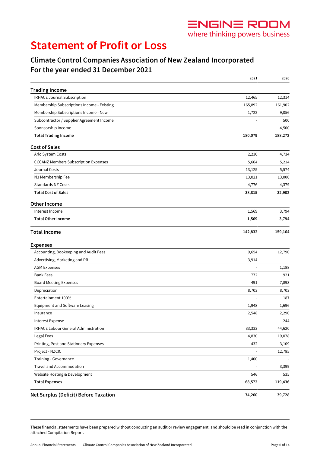# *ENGINE ROOM* where thinking powers business

# **Statement of Profit or Loss**

# **Climate Control Companies Association of New Zealand Incorporated For the year ended 31 December 2021**

|                                              | 2021           | 2020    |
|----------------------------------------------|----------------|---------|
| <b>Trading Income</b>                        |                |         |
| IRHACE Journal Subscription                  | 12,465         | 12,314  |
| Membership Subscriptions Income - Existing   | 165,892        | 161,902 |
| Membership Subscriptions Income - New        | 1,722          | 9,056   |
| Subcontractor / Supplier Agreement Income    |                | 500     |
| Sponsorship Income                           | L              | 4,500   |
| <b>Total Trading Income</b>                  | 180,079        | 188,272 |
| <b>Cost of Sales</b>                         |                |         |
| Arlo System Costs                            | 2,230          | 4,734   |
| <b>CCCANZ Members Subscription Expenses</b>  | 5,664          | 5,214   |
| Journal Costs                                | 13,125         | 5,574   |
| N3 Membership Fee                            | 13,021         | 13,000  |
| <b>Standards NZ Costs</b>                    | 4,776          | 4,379   |
| <b>Total Cost of Sales</b>                   | 38,815         | 32,902  |
| <b>Other Income</b>                          |                |         |
| Interest Income                              | 1,569          | 3,794   |
| <b>Total Other Income</b>                    | 1,569          | 3,794   |
| <b>Total Income</b>                          | 142,832        | 159,164 |
| <b>Expenses</b>                              |                |         |
| Accounting, Bookeeping and Audit Fees        | 9,654          | 12,790  |
| Advertising, Marketing and PR                | 3,914          |         |
| <b>AGM Expenses</b>                          |                | 1,188   |
| <b>Bank Fees</b>                             | 772            | 921     |
| <b>Board Meeting Expenses</b>                | 491            | 7,893   |
| Depreciation                                 | 8,703          | 8,703   |
| Entertainment 100%                           |                | 187     |
| <b>Equipment and Software Leasing</b>        | 1,948          | 1,696   |
| Insurance                                    | 2,548          | 2,290   |
| <b>Interest Expense</b>                      | ÷,             | 244     |
| <b>IRHACE Labour General Administration</b>  | 33,333         | 44,620  |
| Legal Fees                                   | 4,830          | 19,078  |
| Printing, Post and Stationery Expenses       | 432            | 3,109   |
| Project - NZCIC                              |                | 12,785  |
| Training - Governance                        | 1,400          |         |
| Travel and Accommodation                     | $\overline{a}$ | 3,399   |
| Website Hosting & Development                | 546            | 535     |
| <b>Total Expenses</b>                        | 68,572         | 119,436 |
| <b>Net Surplus (Deficit) Before Taxation</b> | 74,260         | 39,728  |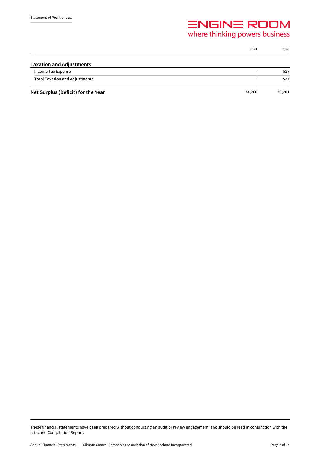# $\equiv$ NGIN $\equiv$ ROOM<br>where thinking powers business

|                                       | 2021                     | 2020   |
|---------------------------------------|--------------------------|--------|
| <b>Taxation and Adjustments</b>       |                          |        |
| Income Tax Expense                    | $\overline{\phantom{0}}$ | 527    |
| <b>Total Taxation and Adjustments</b> |                          | 527    |
| Net Surplus (Deficit) for the Year    | 74,260                   | 39,201 |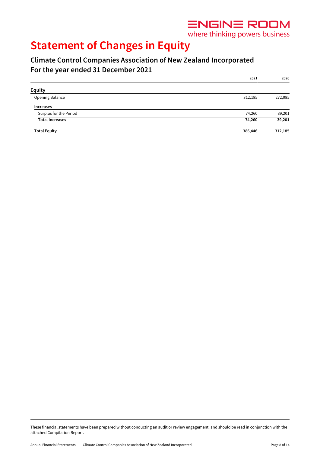

where thinking powers business

# **Statement of Changes in Equity**

# **Climate Control Companies Association of New Zealand Incorporated For the year ended 31 December 2021**

|                        | 2021    | 2020    |
|------------------------|---------|---------|
| Equity                 |         |         |
| Opening Balance        | 312,185 | 272,985 |
| Increases              |         |         |
| Surplus for the Period | 74,260  | 39,201  |
| <b>Total Increases</b> | 74,260  | 39,201  |
| <b>Total Equity</b>    | 386,446 | 312,185 |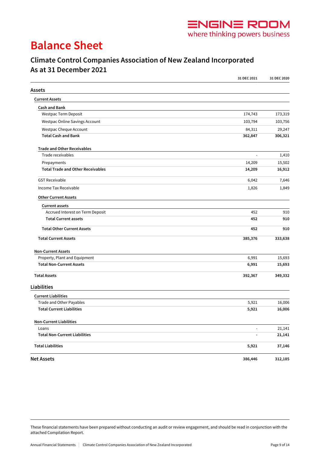

# **Balance Sheet**

# **Climate Control Companies Association of New Zealand Incorporated As at 31 December 2021**

|                                          | 31 DEC 2021    | 31 DEC 2020 |
|------------------------------------------|----------------|-------------|
| Assets                                   |                |             |
| <b>Current Assets</b>                    |                |             |
| <b>Cash and Bank</b>                     |                |             |
| Westpac Term Deposit                     | 174,743        | 173,319     |
| Westpac Online Savings Account           | 103,794        | 103,756     |
| Westpac Cheque Account                   | 84,311         | 29,247      |
| <b>Total Cash and Bank</b>               | 362,847        | 306,321     |
| <b>Trade and Other Receivables</b>       |                |             |
| Trade receivables                        | $\blacksquare$ | 1,410       |
| Prepayments                              | 14,209         | 15,502      |
| <b>Total Trade and Other Receivables</b> | 14,209         | 16,912      |
| <b>GST Receivable</b>                    | 6,042          | 7,646       |
| Income Tax Receivable                    | 1,826          | 1,849       |
| <b>Other Current Assets</b>              |                |             |
| <b>Current assets</b>                    |                |             |
| Accrued Interest on Term Deposit         | 452            | 910         |
| <b>Total Current assets</b>              | 452            | 910         |
| <b>Total Other Current Assets</b>        | 452            | 910         |
| <b>Total Current Assets</b>              | 385,376        | 333,638     |
| <b>Non-Current Assets</b>                |                |             |
| Property, Plant and Equipment            | 6,991          | 15,693      |
| <b>Total Non-Current Assets</b>          | 6,991          | 15,693      |
| <b>Total Assets</b>                      | 392,367        | 349,332     |
| <b>Liabilities</b>                       |                |             |
| <b>Current Liabilities</b>               |                |             |
| Trade and Other Payables                 | 5,921          | 16,006      |
| <b>Total Current Liabilities</b>         | 5,921          | 16,006      |
| <b>Non-Current Liabilities</b>           |                |             |
| Loans                                    |                | 21,141      |
| <b>Total Non-Current Liabilities</b>     | $\overline{a}$ | 21,141      |
| <b>Total Liabilities</b>                 | 5,921          | 37,146      |
| <b>Net Assets</b>                        | 386,446        | 312,185     |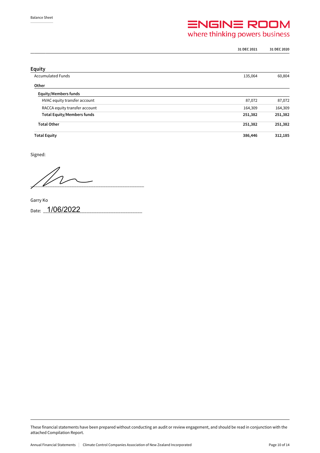# $\equiv$ NGIN $\equiv$ ROOM<br>where thinking powers business

|                                   | 31 DEC 2021 | 31 DEC 2020 |
|-----------------------------------|-------------|-------------|
|                                   |             |             |
| <b>Equity</b>                     |             |             |
| <b>Accumulated Funds</b>          | 135,064     | 60,804      |
| Other                             |             |             |
| <b>Equity/Members funds</b>       |             |             |
| HVAC equity transfer account      | 87,072      | 87,072      |
| RACCA equity transfer account     | 164,309     | 164,309     |
| <b>Total Equity/Members funds</b> | 251,382     | 251,382     |
| <b>Total Other</b>                | 251,382     | 251,382     |
| <b>Total Equity</b>               | 386,446     | 312,185     |

Signed:

 $\frac{1}{2}$ 

Garry Ko Date: 1/06/2022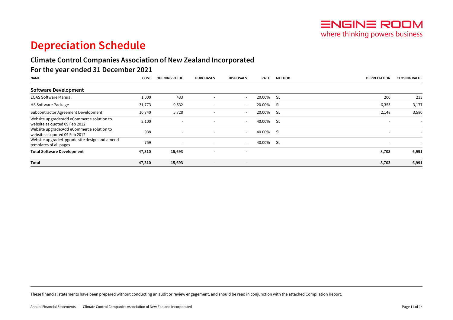# **Depreciation Schedule**

# **Climate Control Companies Association of New Zealand Incorporated**

# **For the year ended 31 December 2021**

| <b>NAME</b>                                                                 | <b>COST</b> | <b>OPENING VALUE</b>     | <b>PURCHASES</b>         | <b>DISPOSALS</b>         | <b>RATE</b> | <b>METHOD</b> | <b>DEPRECIATION</b>      | <b>CLOSING VALUE</b> |
|-----------------------------------------------------------------------------|-------------|--------------------------|--------------------------|--------------------------|-------------|---------------|--------------------------|----------------------|
| Software Development                                                        |             |                          |                          |                          |             |               |                          |                      |
| <b>EQAS Software Manual</b>                                                 | 1,000       | 433                      | $\overline{\phantom{0}}$ | $\sim$                   | 20.00%      | -SL           | 200                      | 233                  |
| <b>HS Software Package</b>                                                  | 31,773      | 9,532                    | $\overline{\phantom{0}}$ | $\sim$                   | 20.00%      | - SL          | 6,355                    | 3,177                |
| Subcontractor Agreement Development                                         | 10,740      | 5,728                    | $\overline{\phantom{0}}$ | $\sim$                   | 20.00%      | -SL           | 2,148                    | 3,580                |
| Website upgrade: Add eCommerce solution to<br>website as quoted 09 Feb 2012 | 2,100       | $\overline{\phantom{a}}$ | $\overline{\phantom{0}}$ | $\sim$                   | 40.00%      | -SL           |                          |                      |
| Website upgrade: Add eCommerce solution to<br>website as quoted 09 Feb 2012 | 938         | $\overline{\phantom{a}}$ | $\overline{\phantom{0}}$ | $\sim$                   | 40.00%      | - SL          | $\overline{\phantom{0}}$ |                      |
| Website upgrade: Upgrade site design and amend<br>templates of all pages    | 759         |                          | $\sim$                   | $\sim$                   | 40.00%      | - SL          | $\overline{\phantom{0}}$ |                      |
| <b>Total Software Development</b>                                           | 47,310      | 15,693                   | $\blacksquare$           | $\overline{\phantom{a}}$ |             |               | 8,703                    | 6,991                |
| Total                                                                       | 47,310      | 15,693                   | $\overline{\phantom{0}}$ | $\sim$                   |             |               | 8,703                    | 6,991                |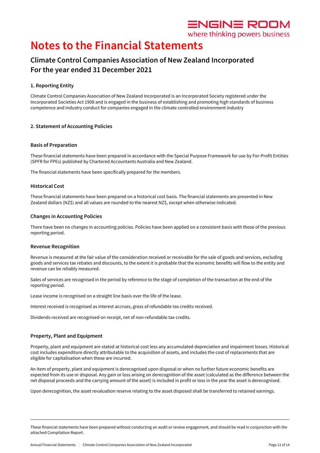

where thinking powers business

# **Notes to the Financial Statements**

# **Climate Control Companies Association of New Zealand Incorporated For the year ended 31 December 2021**

## **1. Reporting Entity**

Climate Control Companies Association of New Zealand Incorporated is an Incorporated Society registered under the Incorporated Societies Act 1908 and is engaged in the business of establishing and promoting high standards of business competence and industry conduct for companies engaged in the climate controlled environment industry

## **2. Statement of Accounting Policies**

### **Basis of Preparation**

These financial statements have been prepared in accordance with the Special Purpose Framework for use by For-Profit Entities (SPFR for FPEs) published by Chartered Accountants Australia and New Zealand.

The financial statements have been specifically prepared for the members.

### **Historical Cost**

These financial statements have been prepared on a historical cost basis. The financial statements are presented in New Zealand dollars (NZ\$) and all values are rounded to the nearest NZ\$, except when otherwise indicated.

### **Changes in Accounting Policies**

There have been no changes in accounting policies. Policies have been applied on a consistent basis with those of the previous reporting period.

### **Revenue Recognition**

Revenue is measured at the fair value of the consideration received or receivable for the sale of goods and services, excluding goods and services tax rebates and discounts, to the extent it is probable that the economic benefits will flow to the entity and revenue can be reliably measured.

Sales of services are recognised in the period by reference to the stage of completion of the transaction at the end of the reporting period.

Lease income is recognised on a straight line basis over the life of the lease.

Interest received is recognised as interest accrues, gross of refundable tax credits received.

Dividends received are recognised on receipt, net of non-refundable tax credits.

## **Property, Plant and Equipment**

Property, plant and equipment are stated at historical cost less any accumulated depreciation and impairment losses. Historical cost includes expenditure directly attributable to the acquisition of assets, and includes the cost of replacements that are eligible for capitalisation when these are incurred.

An item of property, plant and equipment is derecognised upon disposal or when no further future economic benefits are expected from its use or disposal. Any gain or loss arising on derecognition of the asset (calculated as the difference between the net disposal proceeds and the carrying amount of the asset) is included in profit or loss in the year the asset is derecognised.

Upon derecognition, the asset revaluation reserve relating to the asset disposed shall be transferred to retained earnings.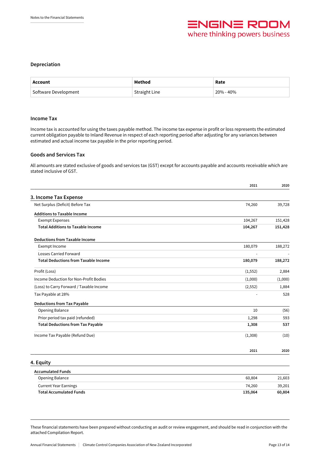

### **Depreciation**

| Account              | Method               | Rate      |
|----------------------|----------------------|-----------|
| Software Development | <b>Straight Line</b> | 20% - 40% |

#### **Income Tax**

Income tax is accounted for using the taxes payable method. The income tax expense in profit or loss represents the estimated current obligation payable to Inland Revenue in respect of each reporting period after adjusting for any variances between estimated and actual income tax payable in the prior reporting period.

#### **Goods and Services Tax**

All amounts are stated exclusive of goods and services tax (GST) except for accounts payable and accounts receivable which are stated inclusive of GST.

|                                             | 2021     | 2020    |
|---------------------------------------------|----------|---------|
| 3. Income Tax Expense                       |          |         |
| Net Surplus (Deficit) Before Tax            | 74,260   | 39,728  |
| <b>Additions to Taxable Income</b>          |          |         |
| <b>Exempt Expenses</b>                      | 104,267  | 151,428 |
| <b>Total Additions to Taxable Income</b>    | 104,267  | 151,428 |
| <b>Deductions from Taxable Income</b>       |          |         |
| Exempt Income                               | 180,079  | 188,272 |
| <b>Losses Carried Forward</b>               |          |         |
| <b>Total Deductions from Taxable Income</b> | 180,079  | 188,272 |
| Profit (Loss)                               | (1, 552) | 2,884   |
| Income Deduction for Non-Profit Bodies      | (1,000)  | (1,000) |
| (Loss) to Carry Forward / Taxable Income    | (2, 552) | 1,884   |
| Tax Payable at 28%                          |          | 528     |
| <b>Deductions from Tax Payable</b>          |          |         |
| <b>Opening Balance</b>                      | 10       | (56)    |
| Prior period tax paid (refunded)            | 1,298    | 593     |
| <b>Total Deductions from Tax Payable</b>    | 1,308    | 537     |
| Income Tax Payable (Refund Due)             | (1,308)  | (10)    |
|                                             | 2021     | 2020    |
| 4. Equity                                   |          |         |
| <b>Accumulated Funds</b>                    |          |         |
| Opening Balance                             | 60,804   | 21,603  |
| <b>Current Year Earnings</b>                | 74,260   | 39,201  |
| <b>Total Accumulated Funds</b>              | 135,064  | 60,804  |